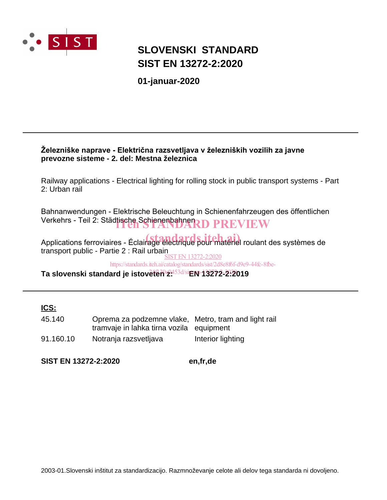

## **SLOVENSKI STANDARD SIST EN 13272-2:2020**

**01-januar-2020**

## **Železniške naprave - Električna razsvetljava v železniških vozilih za javne prevozne sisteme - 2. del: Mestna železnica**

Railway applications - Electrical lighting for rolling stock in public transport systems - Part 2: Urban rail

Bahnanwendungen - Elektrische Beleuchtung in Schienenfahrzeugen des öffentlichen Verkehrs - Teil 2: Städtische Schienenbahnen<br>
ITEH STANDARD PREVIEW

Applications ferroviaires - Éclairage électrique pour matériel roulant des systèmes de transport public - Partie 2 : Rail urbain SIST EN 13272-2:2020

https://standards.iteh.ai/catalog/standards/sist/2d8e8f6f-d9e9-44fc-8fbe-

**Ta slovenski standard je istoveten z: EN 13272-2:2019** 24f130e0453d/sist-en-13272-2-2020

**ICS:**

| 45.140    | Oprema za podzemne vlake, Metro, tram and light rail<br>tramvaje in lahka tirna vozila equipment |                   |
|-----------|--------------------------------------------------------------------------------------------------|-------------------|
|           |                                                                                                  |                   |
| 91.160.10 | Notranja razsvetljava                                                                            | Interior lighting |

**SIST EN 13272-2:2020 en,fr,de**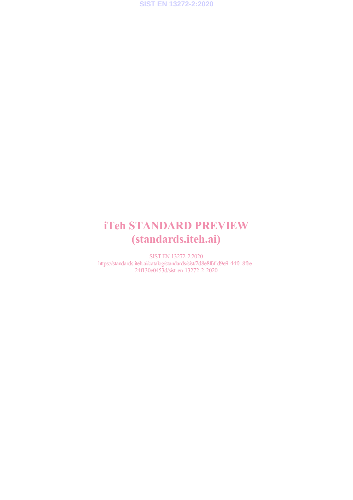

# iTeh STANDARD PREVIEW (standards.iteh.ai)

SIST EN 13272-2:2020 https://standards.iteh.ai/catalog/standards/sist/2d8e8f6f-d9e9-44fc-8fbe-24f130e0453d/sist-en-13272-2-2020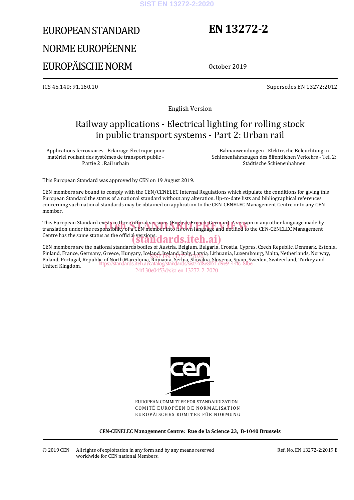#### **SIST EN 13272-2:2020**

# EUROPEAN STANDARD NORME EUROPÉENNE EUROPÄISCHE NORM

# **EN 13272-2**

October 2019

ICS 45.140; 91.160.10 Supersedes EN 13272:2012

English Version

## Railway applications - Electrical lighting for rolling stock in public transport systems - Part 2: Urban rail

Applications ferroviaires - Éclairage électrique pour matériel roulant des systèmes de transport public - Partie 2 : Rail urbain

Bahnanwendungen - Elektrische Beleuchtung in Schienenfahrzeugen des öffentlichen Verkehrs - Teil 2: Städtische Schienenbahnen

This European Standard was approved by CEN on 19 August 2019.

CEN members are bound to comply with the CEN/CENELEC Internal Regulations which stipulate the conditions for giving this European Standard the status of a national standard without any alteration. Up-to-date lists and bibliographical references concerning such national standards may be obtained on application to the CEN-CENELEC Management Centre or to any CEN member.

This European Standard exists in three official versions (English, French, German). A version in any other language made by This European Standard exists in three official versions (English, French, German). A version in any other language made by<br>translation under the responsibility of a CEN member into its own language and notified to the CEN Centre has the same status as the official versions.<br> **(Standards.iteh.ai)** 

CEN members are the national standards bodies of Austria, Belgium, Bulgaria, Croatia, Cyprus, Czech Republic, Denmark, Estonia, Finland, France, Germany, Greece, Hungary, Iceland, Ireland, Italy, Latvia, Lithuania, Luxembourg, Malta, Netherlands, Norway, Poland, Prance, Germany, Greece, Hungary, Iceland, Relatio, Relatio, Slovenia, Euxembourg, Maria, Nemerlands, Norwa<br>Poland, Portugal, Republic of North Macedonia, Romania, Serbia, Slovakia, Slovenia, Spain, Sweden, Switzer United Kingdom. https://standards.iteh.ai/catalog/standards/sist/2d8e8f6f-d9e9-44fc-8fbe-

24f130e0453d/sist-en-13272-2-2020



EUROPEAN COMMITTEE FOR STANDARDIZATION COMITÉ EUROPÉEN DE NORMALISATION EUROPÄISCHES KOMITEE FÜR NORMUNG

**CEN-CENELEC Management Centre: Rue de la Science 23, B-1040 Brussels**

Ref. No. EN 13272-2:2019 E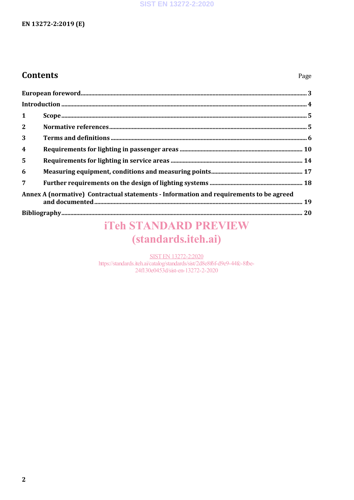## **SIST EN 13272-2:2020**

## EN 13272-2:2019 (E)

## **Contents**

| $\mathbf{1}$                                                                           |  |  |
|----------------------------------------------------------------------------------------|--|--|
| $\overline{2}$                                                                         |  |  |
| 3                                                                                      |  |  |
| $\overline{\mathbf{4}}$                                                                |  |  |
| $5\phantom{1}$                                                                         |  |  |
| 6                                                                                      |  |  |
| $\overline{7}$                                                                         |  |  |
| Annex A (normative) Contractual statements - Information and requirements to be agreed |  |  |
|                                                                                        |  |  |
|                                                                                        |  |  |

# **iTeh STANDARD PREVIEW** (standards.iteh.ai)

**SIST EN 13272-2:2020** https://standards.iteh.ai/catalog/standards/sist/2d8e8f6f-d9e9-44fc-8fbe-24f130e0453d/sist-en-13272-2-2020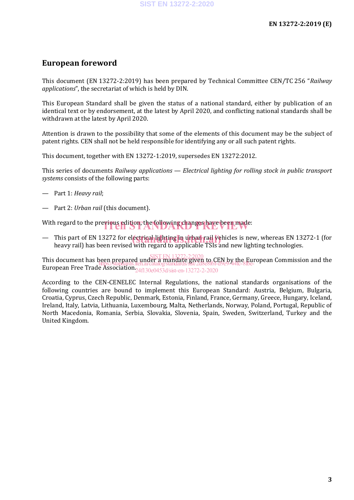## **European foreword**

This document (EN 13272-2:2019) has been prepared by Technical Committee CEN/TC 256 "*Railway applications*", the secretariat of which is held by DIN.

This European Standard shall be given the status of a national standard, either by publication of an identical text or by endorsement, at the latest by April 2020, and conflicting national standards shall be withdrawn at the latest by April 2020.

Attention is drawn to the possibility that some of the elements of this document may be the subject of patent rights. CEN shall not be held responsible for identifying any or all such patent rights.

This document, together with EN 13272-1:2019, supersedes EN 13272:2012.

This series of documents *Railway applications* — *Electrical lighting for rolling stock in public transport systems* consists of the following parts:

- Part 1: *Heavy rail*;
- Part 2: *Urban rail* (this document).

With regard to the previous edition, the following changes have been made:

— This part of EN 13272 for electrical lighting in urban rail vehicles is new, whereas EN 13272-1 (for heavy rail) has been revised with regard to applicable TSIs and new lighting technologies heavy rail) has been revised with regard to applicable TSIs and new lighting technologies.

This document has been prepared under a mandate given to CEN by the European Commission and the European Free Trade Association. SIST EN 13272-2:2020 https://standards.iteh.ai/catalog/standards/sist/2d8e8f6f-d9e9-44fc-8fbe-24f130e0453d/sist-en-13272-2-2020

According to the CEN-CENELEC Internal Regulations, the national standards organisations of the following countries are bound to implement this European Standard: Austria, Belgium, Bulgaria, Croatia, Cyprus, Czech Republic, Denmark, Estonia, Finland, France, Germany, Greece, Hungary, Iceland, Ireland, Italy, Latvia, Lithuania, Luxembourg, Malta, Netherlands, Norway, Poland, Portugal, Republic of North Macedonia, Romania, Serbia, Slovakia, Slovenia, Spain, Sweden, Switzerland, Turkey and the United Kingdom.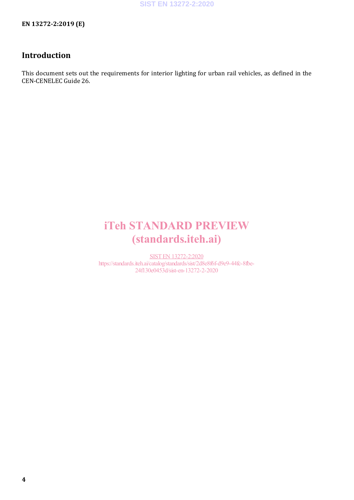**EN 13272-2:2019 (E)**

## **Introduction**

This document sets out the requirements for interior lighting for urban rail vehicles, as defined in the CEN-CENELEC Guide 26.

# iTeh STANDARD PREVIEW (standards.iteh.ai)

SIST EN 13272-2:2020 https://standards.iteh.ai/catalog/standards/sist/2d8e8f6f-d9e9-44fc-8fbe-24f130e0453d/sist-en-13272-2-2020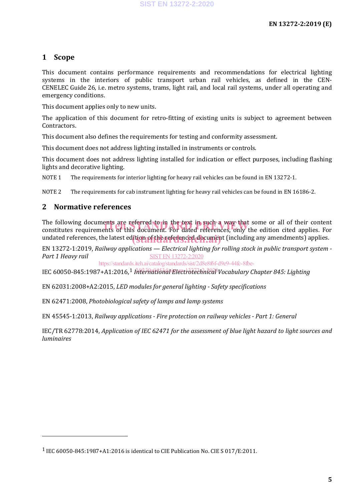## **1 Scope**

This document contains performance requirements and recommendations for electrical lighting systems in the interiors of public transport urban rail vehicles, as defined in the CEN-CENELEC Guide 26, i.e. metro systems, trams, light rail, and local rail systems, under all operating and emergency conditions.

This document applies only to new units.

The application of this document for retro-fitting of existing units is subject to agreement between Contractors.

This document also defines the requirements for testing and conformity assessment.

This document does not address lighting installed in instruments or controls.

This document does not address lighting installed for indication or effect purposes, including flashing lights and decorative lighting.

NOTE 1 The requirements for interior lighting for heavy rail vehicles can be found in EN 13272-1.

NOTE 2 The requirements for cab instrument lighting for heavy rail vehicles can be found in EN 16186-2.

## **2 Normative references**

I

The following documents are referred to in the text in such a way that some or all of their content The following documents are referred to in the text in such a way that some or all of their content<br>constitutes requirements of this document. For dated references, only the edition cited applies. For undated references, the latest edition of the referenced document (including any amendments) applies.

EN 13272-1:2019, *Railway applications — Electrical lighting for rolling stock in public transport system - Part 1 Heavy rail* SIST EN 13272-2:2020

https://standards.iteh.ai/catalog/standards/sist/2d8e8f6f-d9e9-44fc-8fbe-

IEC 60050-845:1987+A1:2016,<sup>1</sup> *h<del>Alerhatiõndt Electrotechnical</del> Vocabulary Chapter 845: Lighting* 

EN 62031:2008+A2:2015, *LED modules for general lighting - Safety specifications*

EN 62471:2008, *Photobiological safety of lamps and lamp systems*

EN 45545-1:2013, *Railway applications - Fire protection on railway vehicles - Part 1: General*

IEC/TR 62778:2014, *Application of IEC 62471 for the assessment of blue light hazard to light sources and luminaires*

<sup>1</sup> IEC 60050-845:1987+A1:2016 is identical to CIE Publication No. CIE S 017/E:2011.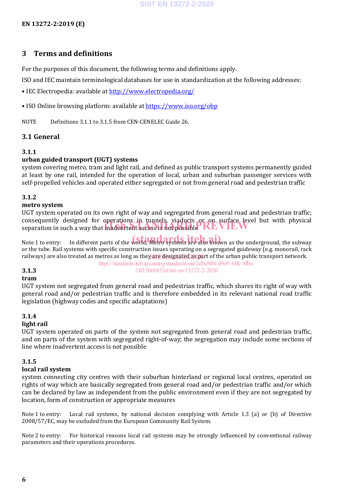## **3 Terms and definitions**

For the purposes of this document, the following terms and definitions apply.

ISO and IEC maintain terminological databases for use in standardization at the following addresses:

• IEC Electropedia: available at http://www.electropedia.org/

• ISO Online browsing platform: available at https://www.iso.org/obp

NOTE Definitions 3.1.1 to 3.1.5 from CEN-CENELEC Guide 26.

## **3.1 General**

## **3.1.1**

## **urban guided transport (UGT) systems**

system covering metro, tram and light rail, and defined as public transport systems permanently guided at least by one rail, intended for the operation of local, urban and suburban passenger services with self-propelled vehicles and operated either segregated or not from general road and pedestrian traffic

## **3.1.2**

## **metro system**

UGT system operated on its own right of way and segregated from general road and pedestrian traffic; consequently designed for operations in tunnels, viaducts or on surface level but with physical consequently designed for operations in tunnels, viability or on surface level<br>separation in such a way that inadvertent access is not possible

Note 1 to entry: In different parts of the world, Metro systems are also known as the underground, the subway or the tube. Rail systems with specific construction issues operating on a segregated guideway (e.g. monorail, rack railways) are also treated as metros as long as the<u>y are designated as)pa</u>rt of the urban public transport network. https://standards.iteh.ai/catalog/standards/sist/2d8e8f6f-d9e9-44fc-8fbe-

24f130e0453d/sist-en-13272-2-2020

## **3.1.3**

### **tram**

UGT system not segregated from general road and pedestrian traffic, which shares its right of way with general road and/or pedestrian traffic and is therefore embedded in its relevant national road traffic legislation (highway codes and specific adaptations)

## **3.1.4**

### **light rail**

UGT system operated on parts of the system not segregated from general road and pedestrian traffic, and on parts of the system with segregated right-of-way; the segregation may include some sections of line where inadvertent access is not possible

### **3.1.5**

### **local rail system**

system connecting city centres with their suburban hinterland or regional local centres, operated on rights of way which are basically segregated from general road and/or pedestrian traffic and/or which can be declared by law as independent from the public environment even if they are not segregated by location, form of construction or appropriate measures

Note 1 to entry: Local rail systems, by national decision complying with Article 1.3 (a) or (b) of Directive 2008/57/EC, may be excluded from the European Community Rail System.

Note 2 to entry: For historical reasons local rail systems may be strongly influenced by conventional railway parameters and their operations procedures.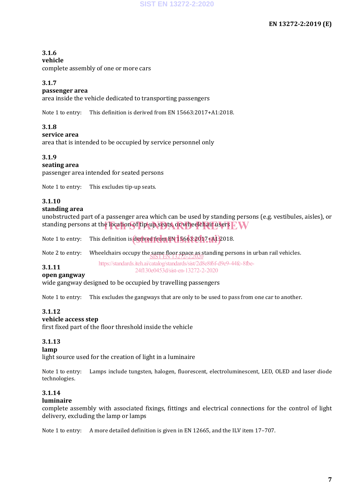## **3.1.6**

## **vehicle**

complete assembly of one or more cars

## **3.1.7**

## **passenger area**

area inside the vehicle dedicated to transporting passengers

Note 1 to entry: This definition is derived from EN 15663:2017+A1:2018.

## **3.1.8**

## **service area**

area that is intended to be occupied by service personnel only

## **3.1.9**

### **seating area**

passenger area intended for seated persons

Note 1 to entry: This excludes tip-up seats.

## **3.1.10**

## **standing area**

unobstructed part of a passenger area which can be used by standing persons (e.g. vestibules, aisles), or standing persons at the location of tip-up seats, or wheelchair users  $\mathbb{F}\mathbf{W}$ 

Note 1 to entry: This definition is <mark>derived from EN 15663:20</mark>17 [A1] 2018.

Note 2 to entry: Wheelchairs occupy the same floor space as standing persons in urban rail vehicles.<br>SISTEN 13272-2:2020

**3.1.11** https://standards.iteh.ai/catalog/standards/sist/2d8e8f6f-d9e9-44fc-8fbe-24f130e0453d/sist-en-13272-2-2020

### **open gangway**

wide gangway designed to be occupied by travelling passengers

Note 1 to entry: This excludes the gangways that are only to be used to pass from one car to another.

## **3.1.12**

## **vehicle access step**

first fixed part of the floor threshold inside the vehicle

## **3.1.13**

### **lamp**

light source used for the creation of light in a luminaire

Note 1 to entry: Lamps include tungsten, halogen, fluorescent, electroluminescent, LED, OLED and laser diode technologies.

## **3.1.14**

## **luminaire**

complete assembly with associated fixings, fittings and electrical connections for the control of light delivery, excluding the lamp or lamps

Note 1 to entry: A more detailed definition is given in EN 12665, and the ILV item 17–707.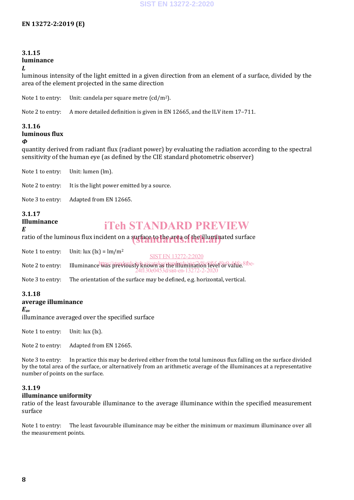#### **3.1.15 luminance** *L*

luminous intensity of the light emitted in a given direction from an element of a surface, divided by the area of the element projected in the same direction

Note 1 to entry: Unit: candela per square metre  $(cd/m^2)$ .

Note 2 to entry: A more detailed definition is given in EN 12665, and the ILV item 17–711.

## **3.1.16 luminous flux**

#### *Φ*

quantity derived from radiant flux (radiant power) by evaluating the radiation according to the spectral sensitivity of the human eye (as defined by the CIE standard photometric observer)

Note 1 to entry: Unit: lumen (lm).

Note 2 to entry: It is the light power emitted by a source.

Note 3 to entry: Adapted from EN 12665.

#### **3.1.17 Illuminance** *E*

## iTeh STANDARD PREVIEW

ratio of the luminous flux incident on a surface to the area of the illuminated surface

Note 1 to entry: Unit:  $lux (lx) = lm/m<sup>2</sup>$ SIST EN 13272-2:2020

Note 2 to entry: Illuminance was previous it kajournlas the industrial of level or value 8 fbe-24f130e0453d/sist-en-13272-2-2020

Note 3 to entry: The orientation of the surface may be defined, e.g. horizontal, vertical.

## **3.1.18**

## **average illuminance**

*E***av**

illuminance averaged over the specified surface

Note 1 to entry: Unit: lux (lx).

Note 2 to entry: Adapted from EN 12665.

Note 3 to entry: In practice this may be derived either from the total luminous flux falling on the surface divided by the total area of the surface, or alternatively from an arithmetic average of the illuminances at a representative number of points on the surface.

### **3.1.19**

### **illuminance uniformity**

ratio of the least favourable illuminance to the average illuminance within the specified measurement surface

Note 1 to entry: The least favourable illuminance may be either the minimum or maximum illuminance over all the measurement points.